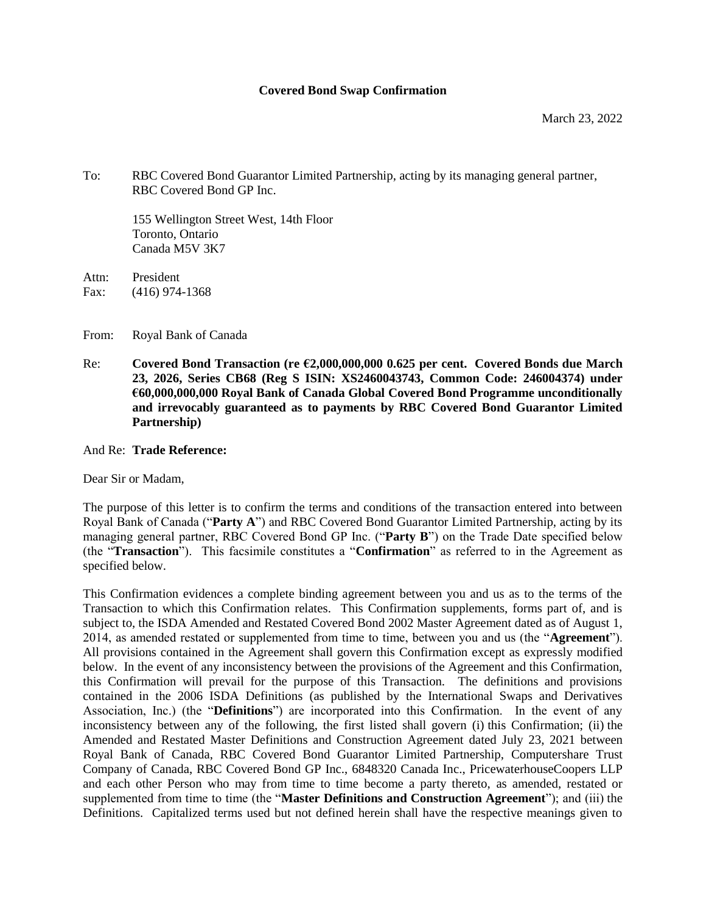#### **Covered Bond Swap Confirmation**

To: RBC Covered Bond Guarantor Limited Partnership, acting by its managing general partner, RBC Covered Bond GP Inc.

155 Wellington Street West, 14th Floor Toronto, Ontario Canada M5V 3K7

Attn: President Fax: (416) 974-1368

From: Royal Bank of Canada

Re: **Covered Bond Transaction (re €2,000,000,000 0.625 per cent. Covered Bonds due March 23, 2026, Series CB68 (Reg S ISIN: XS2460043743, Common Code: 246004374) under €60,000,000,000 Royal Bank of Canada Global Covered Bond Programme unconditionally and irrevocably guaranteed as to payments by RBC Covered Bond Guarantor Limited Partnership)**

#### And Re: **Trade Reference:**

Dear Sir or Madam,

The purpose of this letter is to confirm the terms and conditions of the transaction entered into between Royal Bank of Canada ("**Party A**") and RBC Covered Bond Guarantor Limited Partnership, acting by its managing general partner, RBC Covered Bond GP Inc. ("**Party B**") on the Trade Date specified below (the "**Transaction**"). This facsimile constitutes a "**Confirmation**" as referred to in the Agreement as specified below.

This Confirmation evidences a complete binding agreement between you and us as to the terms of the Transaction to which this Confirmation relates. This Confirmation supplements, forms part of, and is subject to, the ISDA Amended and Restated Covered Bond 2002 Master Agreement dated as of August 1, 2014, as amended restated or supplemented from time to time, between you and us (the "**Agreement**"). All provisions contained in the Agreement shall govern this Confirmation except as expressly modified below. In the event of any inconsistency between the provisions of the Agreement and this Confirmation, this Confirmation will prevail for the purpose of this Transaction. The definitions and provisions contained in the 2006 ISDA Definitions (as published by the International Swaps and Derivatives Association, Inc.) (the "**Definitions**") are incorporated into this Confirmation. In the event of any inconsistency between any of the following, the first listed shall govern (i) this Confirmation; (ii) the Amended and Restated Master Definitions and Construction Agreement dated July 23, 2021 between Royal Bank of Canada, RBC Covered Bond Guarantor Limited Partnership, Computershare Trust Company of Canada, RBC Covered Bond GP Inc., 6848320 Canada Inc., PricewaterhouseCoopers LLP and each other Person who may from time to time become a party thereto, as amended, restated or supplemented from time to time (the "**Master Definitions and Construction Agreement**"); and (iii) the Definitions. Capitalized terms used but not defined herein shall have the respective meanings given to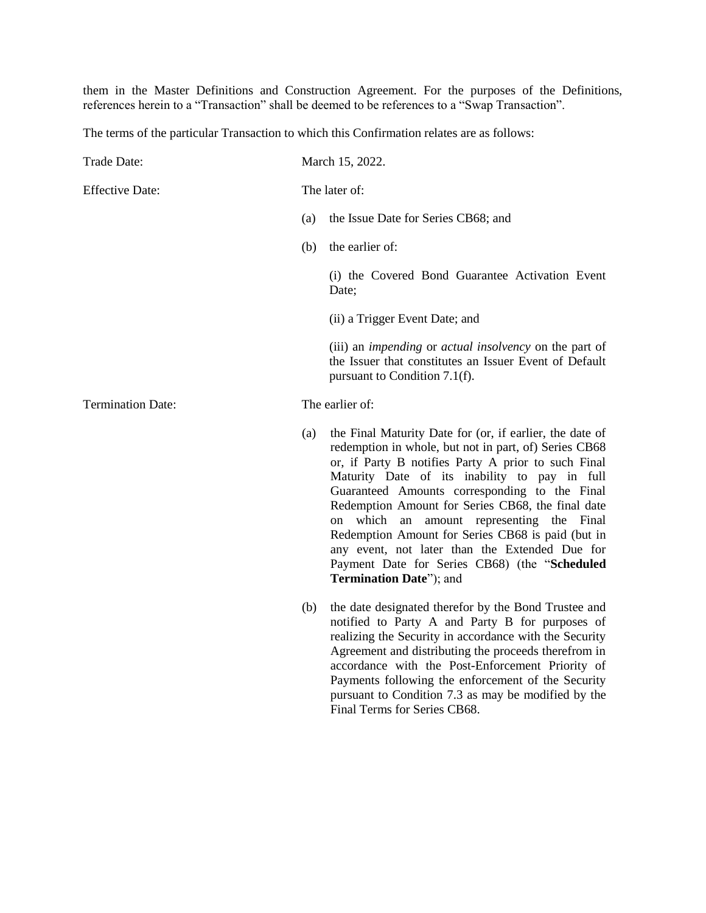them in the Master Definitions and Construction Agreement. For the purposes of the Definitions, references herein to a "Transaction" shall be deemed to be references to a "Swap Transaction".

The terms of the particular Transaction to which this Confirmation relates are as follows:

| Trade Date:              |     | March 15, 2022.                                                                                                                                                                                                                                                                                                                                                                                                                                                                                                                                                 |
|--------------------------|-----|-----------------------------------------------------------------------------------------------------------------------------------------------------------------------------------------------------------------------------------------------------------------------------------------------------------------------------------------------------------------------------------------------------------------------------------------------------------------------------------------------------------------------------------------------------------------|
| <b>Effective Date:</b>   |     | The later of:                                                                                                                                                                                                                                                                                                                                                                                                                                                                                                                                                   |
|                          | (a) | the Issue Date for Series CB68; and                                                                                                                                                                                                                                                                                                                                                                                                                                                                                                                             |
|                          | (b) | the earlier of:                                                                                                                                                                                                                                                                                                                                                                                                                                                                                                                                                 |
|                          |     | (i) the Covered Bond Guarantee Activation Event<br>Date;                                                                                                                                                                                                                                                                                                                                                                                                                                                                                                        |
|                          |     | (ii) a Trigger Event Date; and                                                                                                                                                                                                                                                                                                                                                                                                                                                                                                                                  |
|                          |     | (iii) an <i>impending</i> or <i>actual insolvency</i> on the part of<br>the Issuer that constitutes an Issuer Event of Default<br>pursuant to Condition 7.1(f).                                                                                                                                                                                                                                                                                                                                                                                                 |
| <b>Termination Date:</b> |     | The earlier of:                                                                                                                                                                                                                                                                                                                                                                                                                                                                                                                                                 |
|                          | (a) | the Final Maturity Date for (or, if earlier, the date of<br>redemption in whole, but not in part, of) Series CB68<br>or, if Party B notifies Party A prior to such Final<br>Maturity Date of its inability to pay in full<br>Guaranteed Amounts corresponding to the Final<br>Redemption Amount for Series CB68, the final date<br>on which an amount representing the Final<br>Redemption Amount for Series CB68 is paid (but in<br>any event, not later than the Extended Due for<br>Payment Date for Series CB68) (the "Scheduled<br>Termination Date"); and |
|                          | (b) | the date designated therefor by the Bond Trustee and<br>notified to Party A and Party B for purposes of<br>realizing the Security in accordance with the Security<br>Agreement and distributing the proceeds therefrom in<br>accordance with the Post-Enforcement Priority of<br>Payments following the enforcement of the Security<br>pursuant to Condition 7.3 as may be modified by the<br>Final Terms for Series CB68.                                                                                                                                      |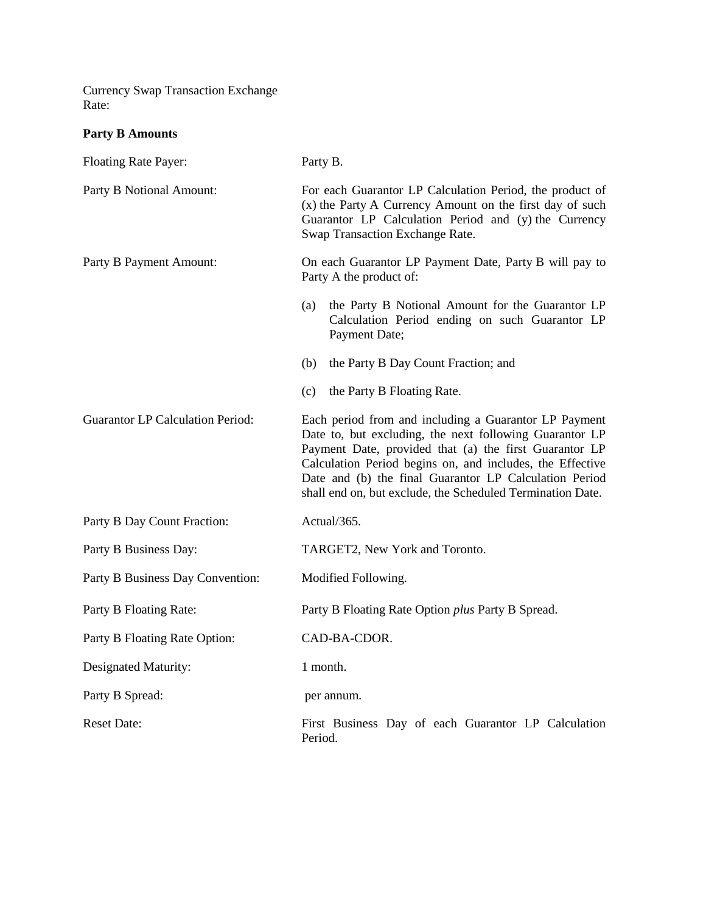Currency Swap Transaction Exchange Rate:

**Party B Amounts**

| Floating Rate Payer:                    | Party B.                                                                                                                                                                                                                                                                                                                                                        |  |
|-----------------------------------------|-----------------------------------------------------------------------------------------------------------------------------------------------------------------------------------------------------------------------------------------------------------------------------------------------------------------------------------------------------------------|--|
| Party B Notional Amount:                | For each Guarantor LP Calculation Period, the product of<br>(x) the Party A Currency Amount on the first day of such<br>Guarantor LP Calculation Period and (y) the Currency<br>Swap Transaction Exchange Rate.                                                                                                                                                 |  |
| Party B Payment Amount:                 | On each Guarantor LP Payment Date, Party B will pay to<br>Party A the product of:                                                                                                                                                                                                                                                                               |  |
|                                         | the Party B Notional Amount for the Guarantor LP<br>(a)<br>Calculation Period ending on such Guarantor LP<br>Payment Date;                                                                                                                                                                                                                                      |  |
|                                         | (b)<br>the Party B Day Count Fraction; and                                                                                                                                                                                                                                                                                                                      |  |
|                                         | (c)<br>the Party B Floating Rate.                                                                                                                                                                                                                                                                                                                               |  |
| <b>Guarantor LP Calculation Period:</b> | Each period from and including a Guarantor LP Payment<br>Date to, but excluding, the next following Guarantor LP<br>Payment Date, provided that (a) the first Guarantor LP<br>Calculation Period begins on, and includes, the Effective<br>Date and (b) the final Guarantor LP Calculation Period<br>shall end on, but exclude, the Scheduled Termination Date. |  |
| Party B Day Count Fraction:             | Actual/365.                                                                                                                                                                                                                                                                                                                                                     |  |
| Party B Business Day:                   | TARGET2, New York and Toronto.                                                                                                                                                                                                                                                                                                                                  |  |
| Party B Business Day Convention:        | Modified Following.                                                                                                                                                                                                                                                                                                                                             |  |
| Party B Floating Rate:                  | Party B Floating Rate Option plus Party B Spread.                                                                                                                                                                                                                                                                                                               |  |
| Party B Floating Rate Option:           | CAD-BA-CDOR.                                                                                                                                                                                                                                                                                                                                                    |  |
| Designated Maturity:                    | 1 month.                                                                                                                                                                                                                                                                                                                                                        |  |
| Party B Spread:                         | per annum.                                                                                                                                                                                                                                                                                                                                                      |  |
| <b>Reset Date:</b>                      | First Business Day of each Guarantor LP Calculation<br>Period.                                                                                                                                                                                                                                                                                                  |  |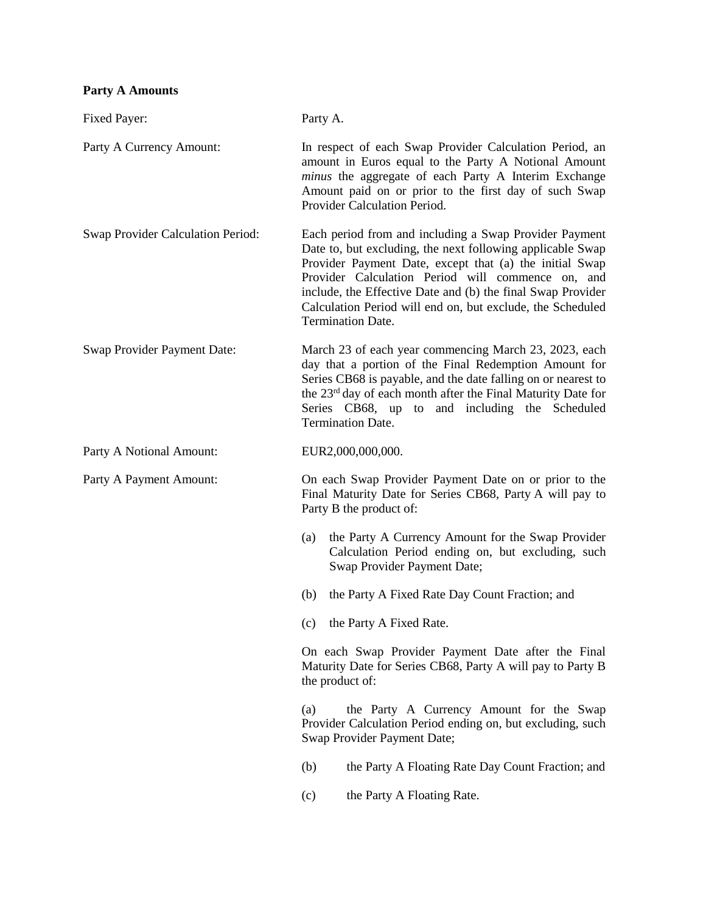# **Party A Amounts**

| Fixed Payer:                      | Party A.                                                                                                                                                                                                                                                                                                                                                                                      |  |
|-----------------------------------|-----------------------------------------------------------------------------------------------------------------------------------------------------------------------------------------------------------------------------------------------------------------------------------------------------------------------------------------------------------------------------------------------|--|
| Party A Currency Amount:          | In respect of each Swap Provider Calculation Period, an<br>amount in Euros equal to the Party A Notional Amount<br>minus the aggregate of each Party A Interim Exchange<br>Amount paid on or prior to the first day of such Swap<br>Provider Calculation Period.                                                                                                                              |  |
| Swap Provider Calculation Period: | Each period from and including a Swap Provider Payment<br>Date to, but excluding, the next following applicable Swap<br>Provider Payment Date, except that (a) the initial Swap<br>Provider Calculation Period will commence on, and<br>include, the Effective Date and (b) the final Swap Provider<br>Calculation Period will end on, but exclude, the Scheduled<br><b>Termination Date.</b> |  |
| Swap Provider Payment Date:       | March 23 of each year commencing March 23, 2023, each<br>day that a portion of the Final Redemption Amount for<br>Series CB68 is payable, and the date falling on or nearest to<br>the 23 <sup>rd</sup> day of each month after the Final Maturity Date for<br>Series CB68, up to and including the Scheduled<br><b>Termination Date.</b>                                                     |  |
| Party A Notional Amount:          | EUR2,000,000,000.                                                                                                                                                                                                                                                                                                                                                                             |  |
| Party A Payment Amount:           | On each Swap Provider Payment Date on or prior to the<br>Final Maturity Date for Series CB68, Party A will pay to<br>Party B the product of:                                                                                                                                                                                                                                                  |  |
|                                   | the Party A Currency Amount for the Swap Provider<br>(a)<br>Calculation Period ending on, but excluding, such<br>Swap Provider Payment Date;                                                                                                                                                                                                                                                  |  |
|                                   | the Party A Fixed Rate Day Count Fraction; and<br>(b)                                                                                                                                                                                                                                                                                                                                         |  |
|                                   | the Party A Fixed Rate.<br>(c)                                                                                                                                                                                                                                                                                                                                                                |  |
|                                   | On each Swap Provider Payment Date after the Final<br>Maturity Date for Series CB68, Party A will pay to Party B<br>the product of:                                                                                                                                                                                                                                                           |  |
|                                   | the Party A Currency Amount for the Swap<br>(a)<br>Provider Calculation Period ending on, but excluding, such<br>Swap Provider Payment Date;                                                                                                                                                                                                                                                  |  |
|                                   | the Party A Floating Rate Day Count Fraction; and<br>(b)                                                                                                                                                                                                                                                                                                                                      |  |
|                                   | the Party A Floating Rate.<br>(c)                                                                                                                                                                                                                                                                                                                                                             |  |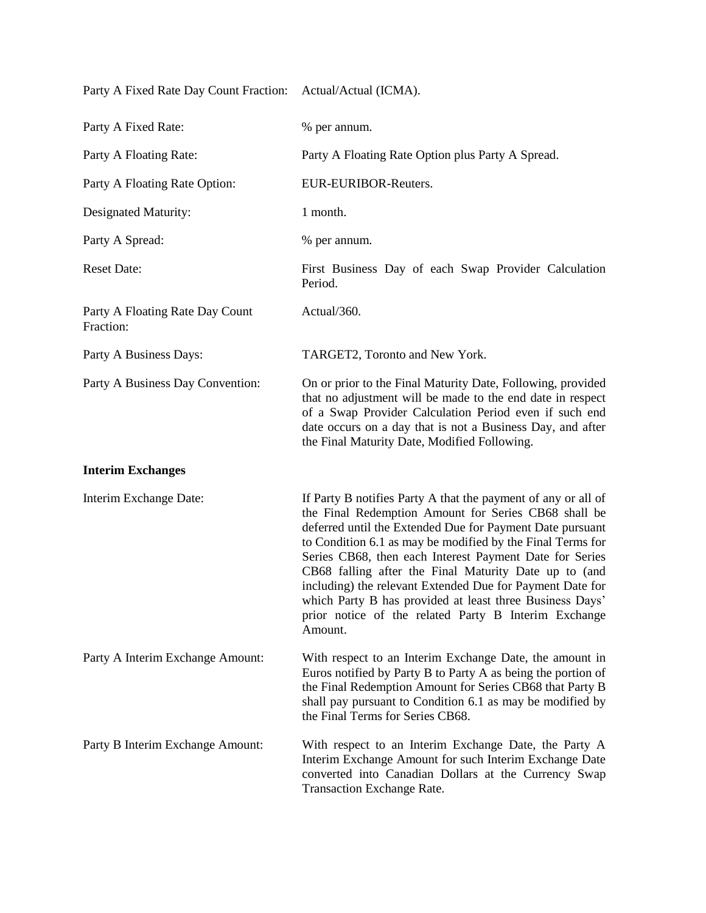Party A Fixed Rate Day Count Fraction: Actual/Actual (ICMA).

| Party A Fixed Rate:                          | % per annum.                                                                                                                                                                                                                                                                                                                                                                                                                                                                                                                                                     |
|----------------------------------------------|------------------------------------------------------------------------------------------------------------------------------------------------------------------------------------------------------------------------------------------------------------------------------------------------------------------------------------------------------------------------------------------------------------------------------------------------------------------------------------------------------------------------------------------------------------------|
| Party A Floating Rate:                       | Party A Floating Rate Option plus Party A Spread.                                                                                                                                                                                                                                                                                                                                                                                                                                                                                                                |
| Party A Floating Rate Option:                | EUR-EURIBOR-Reuters.                                                                                                                                                                                                                                                                                                                                                                                                                                                                                                                                             |
| Designated Maturity:                         | 1 month.                                                                                                                                                                                                                                                                                                                                                                                                                                                                                                                                                         |
| Party A Spread:                              | % per annum.                                                                                                                                                                                                                                                                                                                                                                                                                                                                                                                                                     |
| <b>Reset Date:</b>                           | First Business Day of each Swap Provider Calculation<br>Period.                                                                                                                                                                                                                                                                                                                                                                                                                                                                                                  |
| Party A Floating Rate Day Count<br>Fraction: | Actual/360.                                                                                                                                                                                                                                                                                                                                                                                                                                                                                                                                                      |
| Party A Business Days:                       | TARGET2, Toronto and New York.                                                                                                                                                                                                                                                                                                                                                                                                                                                                                                                                   |
| Party A Business Day Convention:             | On or prior to the Final Maturity Date, Following, provided<br>that no adjustment will be made to the end date in respect<br>of a Swap Provider Calculation Period even if such end<br>date occurs on a day that is not a Business Day, and after<br>the Final Maturity Date, Modified Following.                                                                                                                                                                                                                                                                |
| <b>Interim Exchanges</b>                     |                                                                                                                                                                                                                                                                                                                                                                                                                                                                                                                                                                  |
| Interim Exchange Date:                       | If Party B notifies Party A that the payment of any or all of<br>the Final Redemption Amount for Series CB68 shall be<br>deferred until the Extended Due for Payment Date pursuant<br>to Condition 6.1 as may be modified by the Final Terms for<br>Series CB68, then each Interest Payment Date for Series<br>CB68 falling after the Final Maturity Date up to (and<br>including) the relevant Extended Due for Payment Date for<br>which Party B has provided at least three Business Days'<br>prior notice of the related Party B Interim Exchange<br>Amount. |
| Party A Interim Exchange Amount:             | With respect to an Interim Exchange Date, the amount in<br>Euros notified by Party B to Party A as being the portion of<br>the Final Redemption Amount for Series CB68 that Party B<br>shall pay pursuant to Condition 6.1 as may be modified by<br>the Final Terms for Series CB68.                                                                                                                                                                                                                                                                             |
| Party B Interim Exchange Amount:             | With respect to an Interim Exchange Date, the Party A<br>Interim Exchange Amount for such Interim Exchange Date<br>converted into Canadian Dollars at the Currency Swap                                                                                                                                                                                                                                                                                                                                                                                          |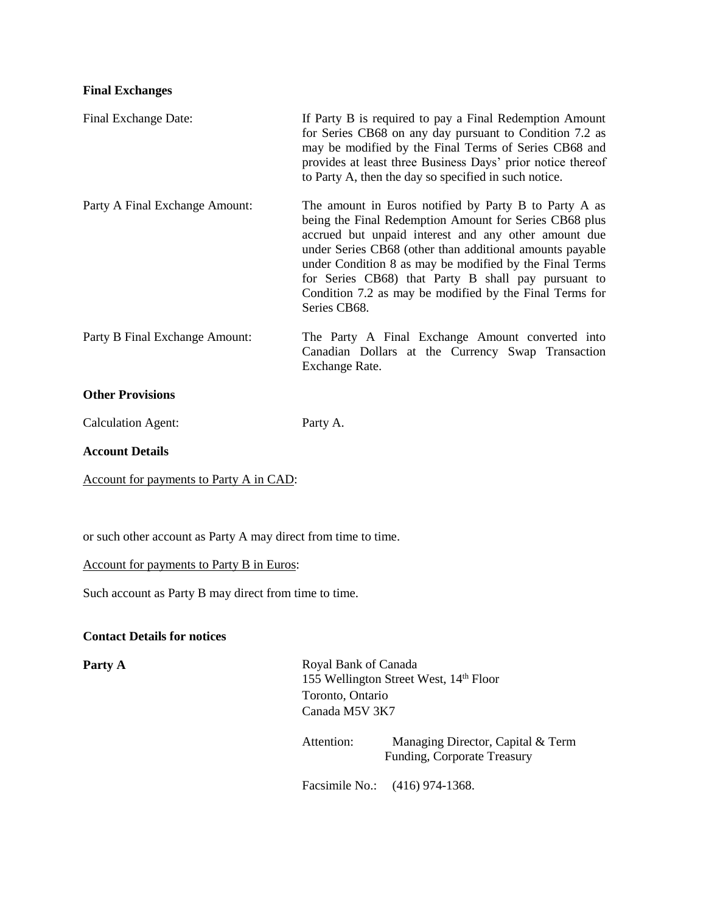#### **Final Exchanges**

| Final Exchange Date:           | If Party B is required to pay a Final Redemption Amount<br>for Series CB68 on any day pursuant to Condition 7.2 as<br>may be modified by the Final Terms of Series CB68 and<br>provides at least three Business Days' prior notice thereof<br>to Party A, then the day so specified in such notice.                                                                                                                              |
|--------------------------------|----------------------------------------------------------------------------------------------------------------------------------------------------------------------------------------------------------------------------------------------------------------------------------------------------------------------------------------------------------------------------------------------------------------------------------|
| Party A Final Exchange Amount: | The amount in Euros notified by Party B to Party A as<br>being the Final Redemption Amount for Series CB68 plus<br>accrued but unpaid interest and any other amount due<br>under Series CB68 (other than additional amounts payable<br>under Condition 8 as may be modified by the Final Terms<br>for Series CB68) that Party B shall pay pursuant to<br>Condition 7.2 as may be modified by the Final Terms for<br>Series CB68. |
| Party B Final Exchange Amount: | The Party A Final Exchange Amount converted into<br>Canadian Dollars at the Currency Swap Transaction<br>Exchange Rate.                                                                                                                                                                                                                                                                                                          |
| <b>Other Provisions</b>        |                                                                                                                                                                                                                                                                                                                                                                                                                                  |
| <b>Calculation Agent:</b>      | Party A.                                                                                                                                                                                                                                                                                                                                                                                                                         |
| <b>Account Details</b>         |                                                                                                                                                                                                                                                                                                                                                                                                                                  |

Account for payments to Party A in CAD:

or such other account as Party A may direct from time to time.

Account for payments to Party B in Euros:

Such account as Party B may direct from time to time.

## **Contact Details for notices**

Party A Royal Bank of Canada 155 Wellington Street West, 14th Floor Toronto, Ontario Canada M5V 3K7

> Attention: Managing Director, Capital & Term Funding, Corporate Treasury

Facsimile No.: (416) 974-1368.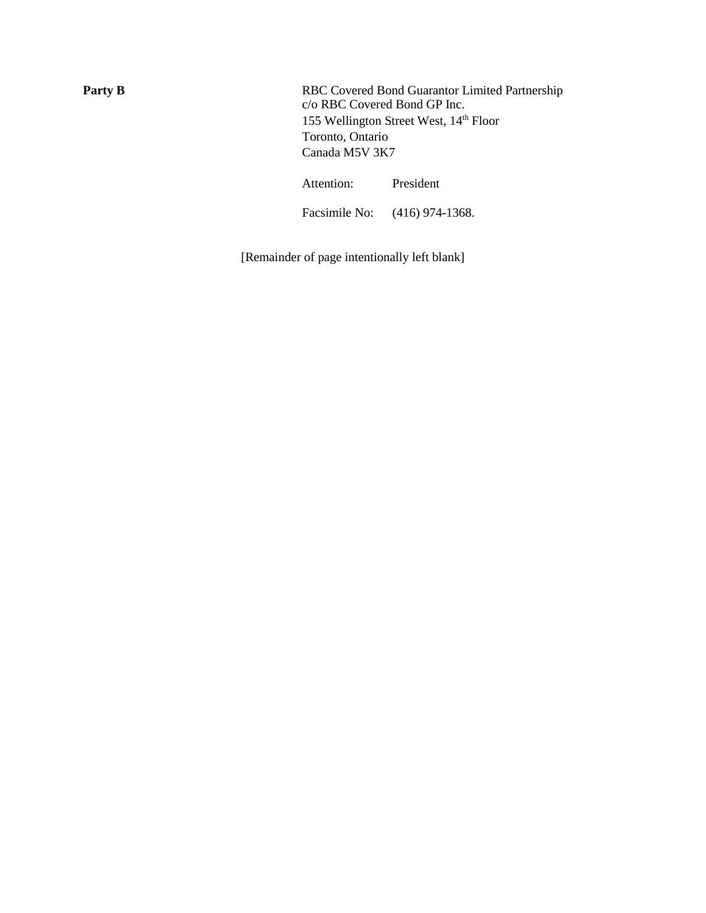Party B<br>RBC Covered Bond Guarantor Limited Partnership c/o RBC Covered Bond GP Inc. 155 Wellington Street West, 14<sup>th</sup> Floor Toronto, Ontario Canada M5V 3K7

Attention: President

Facsimile No: (416) 974-1368.

[Remainder of page intentionally left blank]